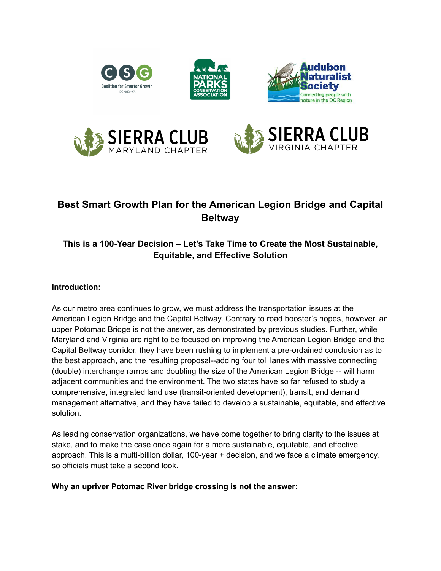

# **Best Smart Growth Plan for the American Legion Bridge and Capital Beltway**

# **This is a 100-Year Decision – Let's Take Time to Create the Most Sustainable, Equitable, and Effective Solution**

### **Introduction:**

As our metro area continues to grow, we must address the transportation issues at the American Legion Bridge and the Capital Beltway. Contrary to road booster's hopes, however, an upper Potomac Bridge is not the answer, as demonstrated by previous studies. Further, while Maryland and Virginia are right to be focused on improving the American Legion Bridge and the Capital Beltway corridor, they have been rushing to implement a pre-ordained conclusion as to the best approach, and the resulting proposal--adding four toll lanes with massive connecting (double) interchange ramps and doubling the size of the American Legion Bridge -- will harm adjacent communities and the environment. The two states have so far refused to study a comprehensive, integrated land use (transit-oriented development), transit, and demand management alternative, and they have failed to develop a sustainable, equitable, and effective solution.

As leading conservation organizations, we have come together to bring clarity to the issues at stake, and to make the case once again for a more sustainable, equitable, and effective approach. This is a multi-billion dollar, 100-year + decision, and we face a climate emergency, so officials must take a second look.

#### **Why an upriver Potomac River bridge crossing is not the answer:**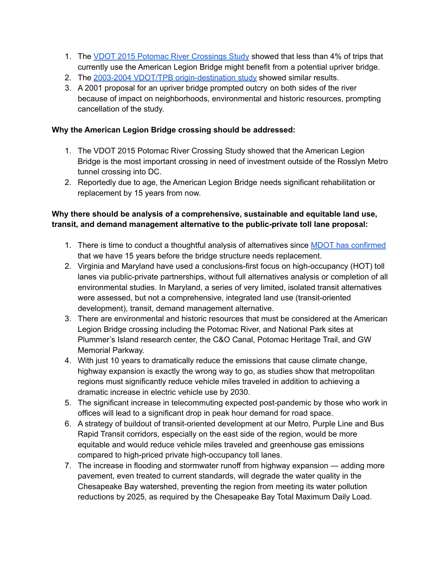- 1. The VDOT 2015 Potomac River [Crossings](http://www.ctb.virginia.gov/resources/2015/july/pres/PotomacRiverStudy.pdf) Study showed that less than 4% of trips that currently use the American Legion Bridge might benefit from a potential upriver bridge.
- 2. The 2003-2004 VDOT/TPB [origin-destination](http://www.smartergrowth.net/wp-content/uploads/2015/01/2004-05-17-techway-study-Fact-Sheet-v3-formatted.pdf) study showed similar results.
- 3. A 2001 proposal for an upriver bridge prompted outcry on both sides of the river because of impact on neighborhoods, environmental and historic resources, prompting cancellation of the study.

### **Why the American Legion Bridge crossing should be addressed:**

- 1. The VDOT 2015 Potomac River Crossing Study showed that the American Legion Bridge is the most important crossing in need of investment outside of the Rosslyn Metro tunnel crossing into DC.
- 2. Reportedly due to age, the American Legion Bridge needs significant rehabilitation or replacement by 15 years from now.

## **Why there should be analysis of a comprehensive, sustainable and equitable land use, transit, and demand management alternative to the public-private toll lane proposal:**

- 1. There is time to conduct a thoughtful analysis of alternatives since **MDOT** has [confirmed](https://wtop.com/dc-transit/2021/03/how-safe-is-the-american-legion-bridge-you-asked-we-answered/) that we have 15 years before the bridge structure needs replacement.
- 2. Virginia and Maryland have used a conclusions-first focus on high-occupancy (HOT) toll lanes via public-private partnerships, without full alternatives analysis or completion of all environmental studies. In Maryland, a series of very limited, isolated transit alternatives were assessed, but not a comprehensive, integrated land use (transit-oriented development), transit, demand management alternative.
- 3. There are environmental and historic resources that must be considered at the American Legion Bridge crossing including the Potomac River, and National Park sites at Plummer's Island research center, the C&O Canal, Potomac Heritage Trail, and GW Memorial Parkway.
- 4. With just 10 years to dramatically reduce the emissions that cause climate change, highway expansion is exactly the wrong way to go, as studies show that metropolitan regions must significantly reduce vehicle miles traveled in addition to achieving a dramatic increase in electric vehicle use by 2030.
- 5. The significant increase in telecommuting expected post-pandemic by those who work in offices will lead to a significant drop in peak hour demand for road space.
- 6. A strategy of buildout of transit-oriented development at our Metro, Purple Line and Bus Rapid Transit corridors, especially on the east side of the region, would be more equitable and would reduce vehicle miles traveled and greenhouse gas emissions compared to high-priced private high-occupancy toll lanes.
- 7. The increase in flooding and stormwater runoff from highway expansion adding more pavement, even treated to current standards, will degrade the water quality in the Chesapeake Bay watershed, preventing the region from meeting its water pollution reductions by 2025, as required by the Chesapeake Bay Total Maximum Daily Load.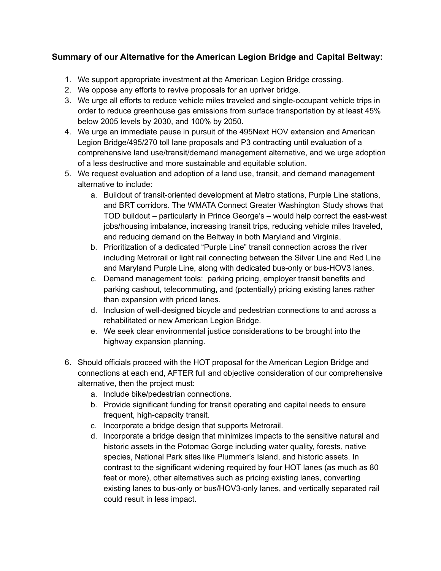# **Summary of our Alternative for the American Legion Bridge and Capital Beltway:**

- 1. We support appropriate investment at the American Legion Bridge crossing.
- 2. We oppose any efforts to revive proposals for an upriver bridge.
- 3. We urge all efforts to reduce vehicle miles traveled and single-occupant vehicle trips in order to reduce greenhouse gas emissions from surface transportation by at least 45% below 2005 levels by 2030, and 100% by 2050.
- 4. We urge an immediate pause in pursuit of the 495Next HOV extension and American Legion Bridge/495/270 toll lane proposals and P3 contracting until evaluation of a comprehensive land use/transit/demand management alternative, and we urge adoption of a less destructive and more sustainable and equitable solution.
- 5. We request evaluation and adoption of a land use, transit, and demand management alternative to include:
	- a. Buildout of transit-oriented development at Metro stations, Purple Line stations, and BRT corridors. The WMATA Connect Greater Washington Study shows that TOD buildout – particularly in Prince George's – would help correct the east-west jobs/housing imbalance, increasing transit trips, reducing vehicle miles traveled, and reducing demand on the Beltway in both Maryland and Virginia.
	- b. Prioritization of a dedicated "Purple Line" transit connection across the river including Metrorail or light rail connecting between the Silver Line and Red Line and Maryland Purple Line, along with dedicated bus-only or bus-HOV3 lanes.
	- c. Demand management tools: parking pricing, employer transit benefits and parking cashout, telecommuting, and (potentially) pricing existing lanes rather than expansion with priced lanes.
	- d. Inclusion of well-designed bicycle and pedestrian connections to and across a rehabilitated or new American Legion Bridge.
	- e. We seek clear environmental justice considerations to be brought into the highway expansion planning.
- 6. Should officials proceed with the HOT proposal for the American Legion Bridge and connections at each end, AFTER full and objective consideration of our comprehensive alternative, then the project must:
	- a. Include bike/pedestrian connections.
	- b. Provide significant funding for transit operating and capital needs to ensure frequent, high-capacity transit.
	- c. Incorporate a bridge design that supports Metrorail.
	- d. Incorporate a bridge design that minimizes impacts to the sensitive natural and historic assets in the Potomac Gorge including water quality, forests, native species, National Park sites like Plummer's Island, and historic assets. In contrast to the significant widening required by four HOT lanes (as much as 80 feet or more), other alternatives such as pricing existing lanes, converting existing lanes to bus-only or bus/HOV3-only lanes, and vertically separated rail could result in less impact.